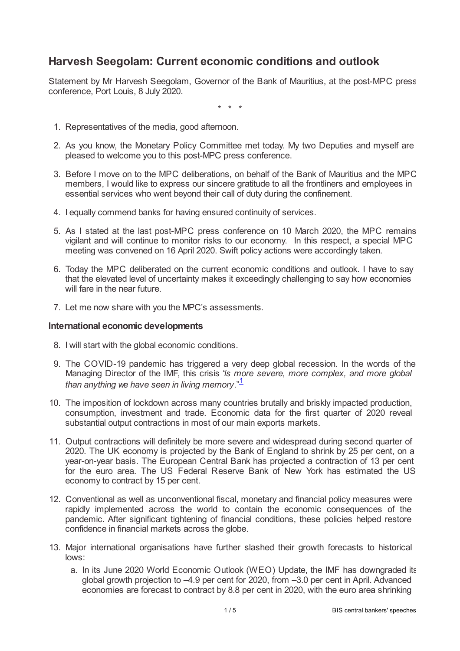# **Harvesh Seegolam: Current economic conditions and outlook**

Statement by Mr Harvesh Seegolam, Governor of the Bank of Mauritius, at the post-MPC press conference, Port Louis, 8 July 2020.

\* \* \*

- 1. Representatives of the media, good afternoon.
- 2. As you know, the Monetary Policy Committee met today. My two Deputies and myself are pleased to welcome you to this post-MPC press conference.
- 3. Before I move on to the MPC deliberations, on behalf of the Bank of Mauritius and the MPC members, I would like to express our sincere gratitude to all the frontliners and employees in essential services who went beyond their call of duty during the confinement.
- 4. I equally commend banks for having ensured continuity of services.
- 5. As I stated at the last post-MPC press conference on 10 March 2020, the MPC remains vigilant and will continue to monitor risks to our economy. In this respect, a special MPC meeting was convened on 16 April 2020. Swift policy actions were accordingly taken.
- 6. Today the MPC deliberated on the current economic conditions and outlook. I have to say that the elevated level of uncertainty makes it exceedingly challenging to say how economies will fare in the near future.
- 7. Let me now share with you the MPC's assessments.

# **International economic developments**

- 8. I will start with the global economic conditions.
- <span id="page-0-0"></span>9. The COVID-19 pandemic has triggered a very deep global recession. In the words of the Managing Director of the IMF, this crisis "*is more severe, more complex, and more global than anything we have seen in living memory*." [1](#page-4-0)
- 10. The imposition of lockdown across many countries brutally and briskly impacted production, consumption, investment and trade. Economic data for the first quarter of 2020 reveal substantial output contractions in most of our main exports markets.
- 11. Output contractions will definitely be more severe and widespread during second quarter of 2020. The UK economy is projected by the Bank of England to shrink by 25 per cent, on a year-on-year basis. The European Central Bank has projected a contraction of 13 per cent for the euro area. The US Federal Reserve Bank of New York has estimated the US economy to contract by 15 per cent.
- 12. Conventional as well as unconventional fiscal, monetary and financial policy measures were rapidly implemented across the world to contain the economic consequences of the pandemic. After significant tightening of financial conditions, these policies helped restore confidence in financial markets across the globe.
- 13. Major international organisations have further slashed their growth forecasts to historical lows:
	- a. In its June 2020 World Economic Outlook (WEO) Update, the IMF has downgraded its global growth projection to –4.9 per cent for 2020, from –3.0 per cent in April. Advanced economies are forecast to contract by 8.8 per cent in 2020, with the euro area shrinking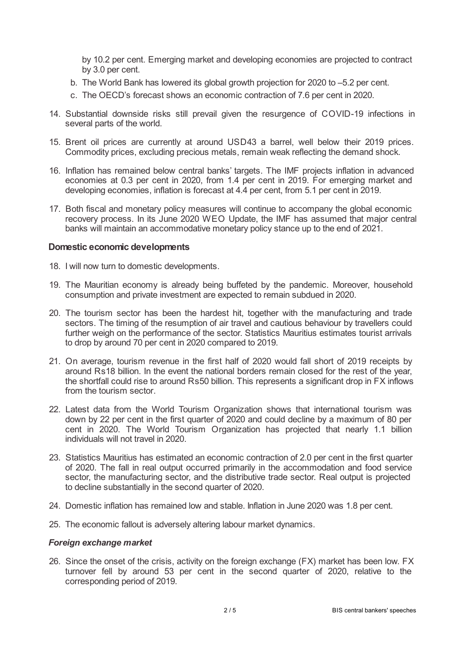by 10.2 per cent. Emerging market and developing economies are projected to contract by 3.0 per cent.

- b. The World Bank has lowered its global growth projection for 2020 to –5.2 per cent.
- c. The OECD's forecast shows an economic contraction of 7.6 per cent in 2020.
- 14. Substantial downside risks still prevail given the resurgence of COVID-19 infections in several parts of the world.
- 15. Brent oil prices are currently at around USD43 a barrel, well below their 2019 prices. Commodity prices, excluding precious metals, remain weak reflecting the demand shock.
- 16. Inflation has remained below central banks' targets. The IMF projects inflation in advanced economies at 0.3 per cent in 2020, from 1.4 per cent in 2019. For emerging market and developing economies, inflation is forecast at 4.4 per cent, from 5.1 per cent in 2019.
- 17. Both fiscal and monetary policy measures will continue to accompany the global economic recovery process. In its June 2020 WEO Update, the IMF has assumed that major central banks will maintain an accommodative monetary policy stance up to the end of 2021.

### **Domestic economic developments**

- 18. I will now turn to domestic developments.
- 19. The Mauritian economy is already being buffeted by the pandemic. Moreover, household consumption and private investment are expected to remain subdued in 2020.
- 20. The tourism sector has been the hardest hit, together with the manufacturing and trade sectors. The timing of the resumption of air travel and cautious behaviour by travellers could further weigh on the performance of the sector. Statistics Mauritius estimates tourist arrivals to drop by around 70 per cent in 2020 compared to 2019.
- 21. On average, tourism revenue in the first half of 2020 would fall short of 2019 receipts by around Rs18 billion. In the event the national borders remain closed for the rest of the year, the shortfall could rise to around Rs50 billion. This represents a significant drop in FX inflows from the tourism sector.
- 22. Latest data from the World Tourism Organization shows that international tourism was down by 22 per cent in the first quarter of 2020 and could decline by a maximum of 80 per cent in 2020. The World Tourism Organization has projected that nearly 1.1 billion individuals will not travel in 2020.
- 23. Statistics Mauritius has estimated an economic contraction of 2.0 per cent in the first quarter of 2020. The fall in real output occurred primarily in the accommodation and food service sector, the manufacturing sector, and the distributive trade sector. Real output is projected to decline substantially in the second quarter of 2020.
- 24. Domestic inflation has remained low and stable. Inflation in June 2020 was 1.8 per cent.
- 25. The economic fallout is adversely altering labour market dynamics.

### *Foreign exchange market*

26. Since the onset of the crisis, activity on the foreign exchange (FX) market has been low. FX turnover fell by around 53 per cent in the second quarter of 2020, relative to the corresponding period of 2019.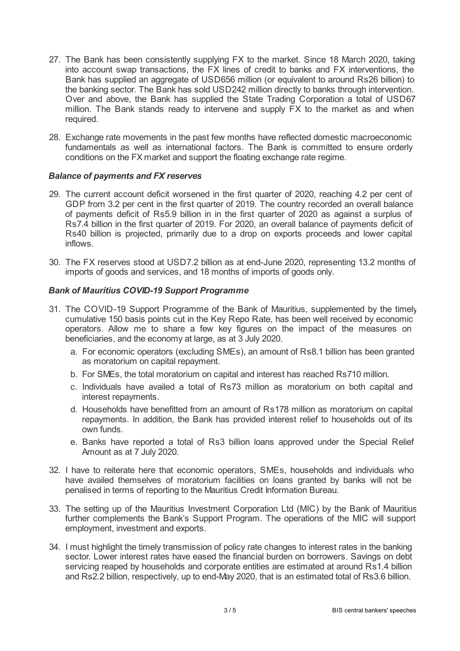- 27. The Bank has been consistently supplying FX to the market. Since 18 March 2020, taking into account swap transactions, the FX lines of credit to banks and FX interventions, the Bank has supplied an aggregate of USD656 million (or equivalent to around Rs26 billion) to the banking sector. The Bank has sold USD242 million directly to banks through intervention. Over and above, the Bank has supplied the State Trading Corporation a total of USD67 million. The Bank stands ready to intervene and supply FX to the market as and when required.
- 28. Exchange rate movements in the past few months have reflected domestic macroeconomic fundamentals as well as international factors. The Bank is committed to ensure orderly conditions on the FX market and support the floating exchange rate regime.

## *Balance of payments and FX reserves*

- 29. The current account deficit worsened in the first quarter of 2020, reaching 4.2 per cent of GDP from 3.2 per cent in the first quarter of 2019. The country recorded an overall balance of payments deficit of Rs5.9 billion in in the first quarter of 2020 as against a surplus of Rs7.4 billion in the first quarter of 2019. For 2020, an overall balance of payments deficit of Rs40 billion is projected, primarily due to a drop on exports proceeds and lower capital inflows.
- 30. The FX reserves stood at USD7.2 billion as at end-June 2020, representing 13.2 months of imports of goods and services, and 18 months of imports of goods only.

# *Bank of Mauritius COVID-19 Support Programme*

- 31. The COVID-19 Support Programme of the Bank of Mauritius, supplemented by the timely cumulative 150 basis points cut in the Key Repo Rate, has been well received by economic operators. Allow me to share a few key figures on the impact of the measures on beneficiaries, and the economy at large, as at 3 July 2020.
	- a. For economic operators (excluding SMEs), an amount of Rs8.1 billion has been granted as moratorium on capital repayment.
	- b. For SMEs, the total moratorium on capital and interest has reached Rs710 million.
	- c. Individuals have availed a total of Rs73 million as moratorium on both capital and interest repayments.
	- d. Households have benefitted from an amount of Rs178 million as moratorium on capital repayments. In addition, the Bank has provided interest relief to households out of its own funds.
	- e. Banks have reported a total of Rs3 billion loans approved under the Special Relief Amount as at 7 July 2020.
- 32. I have to reiterate here that economic operators, SMEs, households and individuals who have availed themselves of moratorium facilities on loans granted by banks will not be penalised in terms of reporting to the Mauritius Credit Information Bureau.
- 33. The setting up of the Mauritius Investment Corporation Ltd (MIC) by the Bank of Mauritius further complements the Bank's Support Program. The operations of the MIC will support employment, investment and exports.
- 34. I must highlight the timely transmission of policy rate changes to interest rates in the banking sector. Lower interest rates have eased the financial burden on borrowers. Savings on debt servicing reaped by households and corporate entities are estimated at around Rs1.4 billion and Rs2.2 billion, respectively, up to end-May 2020, that is an estimated total of Rs3.6 billion.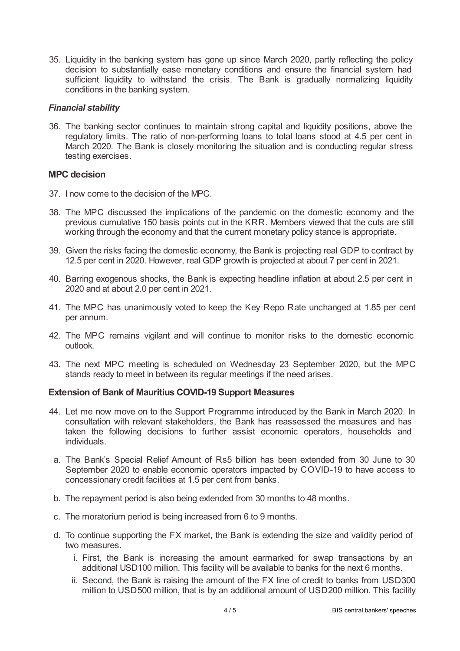35. Liquidity in the banking system has gone up since March 2020, partly reflecting the policy decision to substantially ease monetary conditions and ensure the financial system had sufficient liquidity to withstand the crisis. The Bank is gradually normalizing liquidity conditions in the banking system.

## *Financial stability*

36. The banking sector continues to maintain strong capital and liquidity positions, above the regulatory limits. The ratio of non-performing loans to total loans stood at 4.5 per cent in March 2020. The Bank is closely monitoring the situation and is conducting regular stress testing exercises.

# **MPC decision**

- 37. I now come to the decision of the MPC.
- 38. The MPC discussed the implications of the pandemic on the domestic economy and the previous cumulative 150 basis points cut in the KRR. Members viewed that the cuts are still working through the economy and that the current monetary policy stance is appropriate.
- 39. Given the risks facing the domestic economy, the Bank is projecting real GDP to contract by 12.5 per cent in 2020. However, real GDP growth is projected at about 7 per cent in 2021.
- 40. Barring exogenous shocks, the Bank is expecting headline inflation at about 2.5 per cent in 2020 and at about 2.0 per cent in 2021.
- 41. The MPC has unanimously voted to keep the Key Repo Rate unchanged at 1.85 per cent per annum.
- 42. The MPC remains vigilant and will continue to monitor risks to the domestic economic outlook.
- 43. The next MPC meeting is scheduled on Wednesday 23 September 2020, but the MPC stands ready to meet in between its regular meetings if the need arises.

# **Extension of Bank of Mauritius COVID-19 Support Measures**

- 44. Let me now move on to the Support Programme introduced by the Bank in March 2020. In consultation with relevant stakeholders, the Bank has reassessed the measures and has taken the following decisions to further assist economic operators, households and individuals.
- a. The Bank's Special Relief Amount of Rs5 billion has been extended from 30 June to 30 September 2020 to enable economic operators impacted by COVID-19 to have access to concessionary credit facilities at 1.5 per cent from banks.
- b. The repayment period is also being extended from 30 months to 48 months.
- c. The moratorium period is being increased from 6 to 9 months.
- d. To continue supporting the FX market, the Bank is extending the size and validity period of two measures.
	- i. First, the Bank is increasing the amount earmarked for swap transactions by an additional USD100 million. This facility will be available to banks for the next 6 months.
	- ii. Second, the Bank is raising the amount of the FX line of credit to banks from USD300 million to USD500 million, that is by an additional amount of USD200 million. This facility